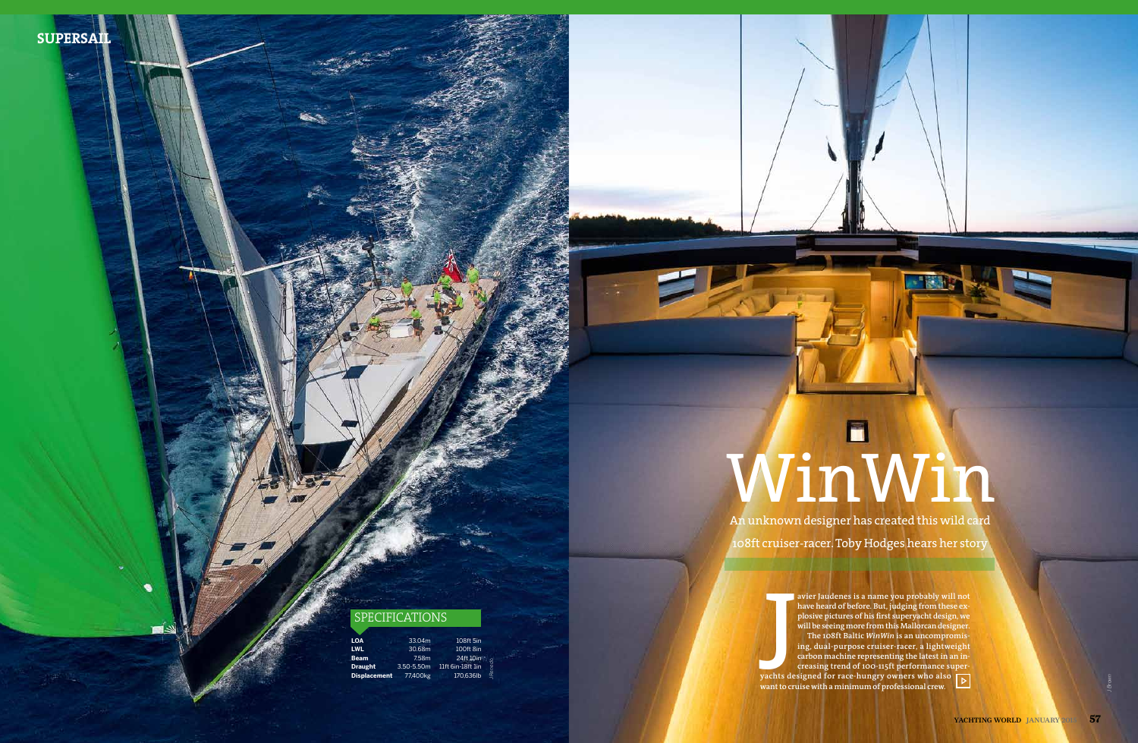| <b>LOA</b>          | 33.04m          | 108ft 5in                     |
|---------------------|-----------------|-------------------------------|
| <b>LWL</b>          | 30.68m          | 100ft 8in                     |
| <b>Beam</b>         | 7.58m           | 24ft 10in                     |
| <b>Draught</b>      | $3.50 - 5.50$ m | J Renedo<br>11ft 6in-18ft 1in |
| <b>Displacement</b> | 77.400kg        | 170.636lb                     |

## SPECIFICATIONS

An unknown designer has created this wild card 108ft cruiser-racer. Toby Hodges hears her story

## WinWin

**avier Jaudenes is a name you probably will not have heard of before. But, judging from these explosive pictures of his first superyacht design, we will be seeing more from this Mallorcan designer. The 108ft Baltic** *WinWin* **is an uncompromising, dual-purpose cruiser-racer, a lightweight carbon machine representing the latest in an increasing trend of 100-115ft performance superyachts designed for race-hungry owners who also want to cruise with a minimum of professional crew.**